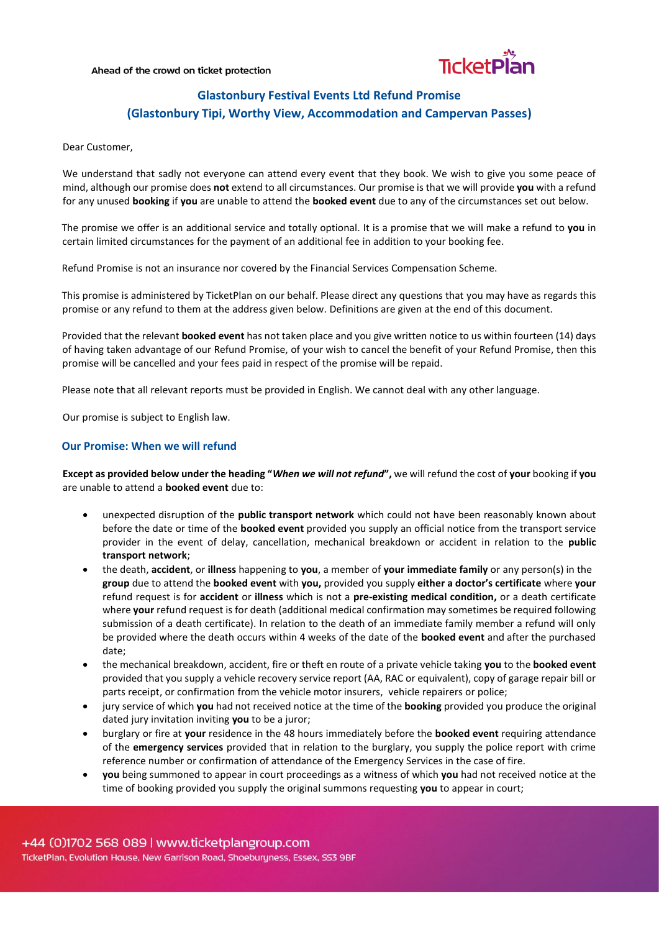#### Ahead of the crowd on ticket protection



# **Glastonbury Festival Events Ltd Refund Promise (Glastonbury Tipi, Worthy View, Accommodation and Campervan Passes)**

Dear Customer,

We understand that sadly not everyone can attend every event that they book. We wish to give you some peace of mind, although our promise does **not** extend to all circumstances. Our promise is that we will provide **you** with a refund for any unused **booking** if **you** are unable to attend the **booked event** due to any of the circumstances set out below.

The promise we offer is an additional service and totally optional. It is a promise that we will make a refund to **you** in certain limited circumstances for the payment of an additional fee in addition to your booking fee.

Refund Promise is not an insurance nor covered by the Financial Services Compensation Scheme.

This promise is administered by TicketPlan on our behalf. Please direct any questions that you may have as regards this promise or any refund to them at the address given below. Definitions are given at the end of this document.

Provided that the relevant **booked event** has not taken place and you give written notice to us within fourteen (14) days of having taken advantage of our Refund Promise, of your wish to cancel the benefit of your Refund Promise, then this promise will be cancelled and your fees paid in respect of the promise will be repaid.

Please note that all relevant reports must be provided in English. We cannot deal with any other language.

Our promise is subject to English law.

## **Our Promise: When we will refund**

**Except as provided below under the heading "***When we will not refund***",** we will refund the cost of **your** booking if **you** are unable to attend a **booked event** due to:

- unexpected disruption of the **public transport network** which could not have been reasonably known about before the date or time of the **booked event** provided you supply an official notice from the transport service provider in the event of delay, cancellation, mechanical breakdown or accident in relation to the **public transport network**;
- the death, **accident**, or **illness** happening to **you**, a member of **your immediate family** or any person(s) in the **group** due to attend the **booked event** with **you,** provided you supply **either a doctor's certificate** where **your** refund request is for **accident** or **illness** which is not a **pre-existing medical condition,** or a death certificate where **your** refund request is for death (additional medical confirmation may sometimes be required following submission of a death certificate). In relation to the death of an immediate family member a refund will only be provided where the death occurs within 4 weeks of the date of the **booked event** and after the purchased date;
- the mechanical breakdown, accident, fire or theft en route of a private vehicle taking **you** to the **booked event** provided that you supply a vehicle recovery service report (AA, RAC or equivalent), copy of garage repair bill or parts receipt, or confirmation from the vehicle motor insurers, vehicle repairers or police;
- jury service of which **you** had not received notice at the time of the **booking** provided you produce the original dated jury invitation inviting **you** to be a juror;
- burglary or fire at **your** residence in the 48 hours immediately before the **booked event** requiring attendance of the **emergency services** provided that in relation to the burglary, you supply the police report with crime reference number or confirmation of attendance of the Emergency Services in the case of fire.
- **you** being summoned to appear in court proceedings as a witness of which **you** had not received notice at the time of booking provided you supply the original summons requesting **you** to appear in court;

TicketPlan, Evolution House, New Garrison Road, Shoeburyness, Essex, SS3 9BF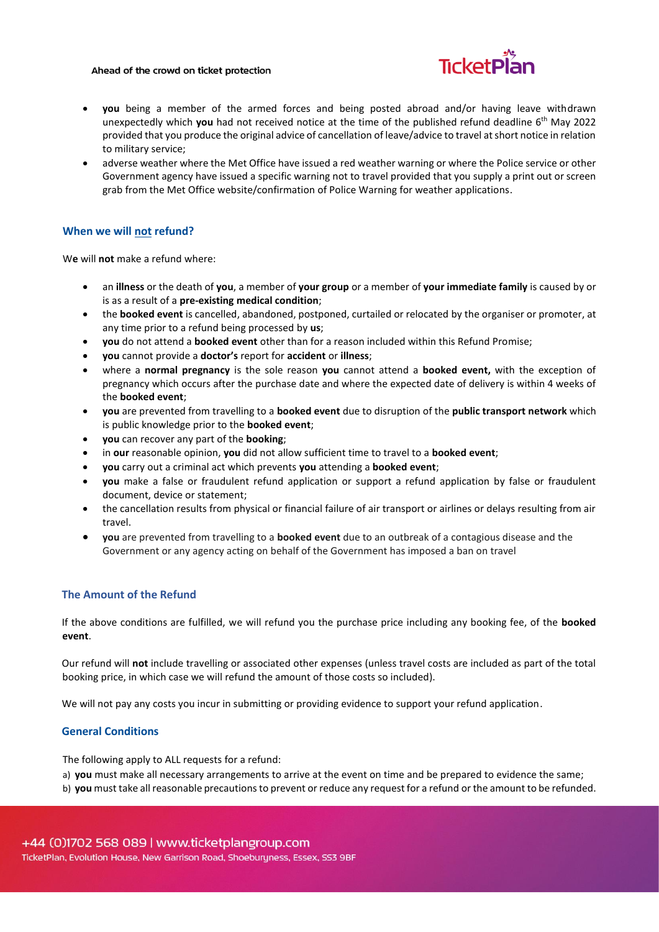#### Ahead of the crowd on ticket protection



- **you** being a member of the armed forces and being posted abroad and/or having leave withdrawn unexpectedly which **you** had not received notice at the time of the published refund deadline 6 th May 2022 provided that you produce the original advice of cancellation of leave/advice to travel at short notice in relation to military service;
- adverse weather where the Met Office have issued a red weather warning or where the Police service or other Government agency have issued a specific warning not to travel provided that you supply a print out or screen grab from the Met Office website/confirmation of Police Warning for weather applications.

## **When we will not refund?**

W**e** will **not** make a refund where:

- an **illness** or the death of **you**, a member of **your group** or a member of **your immediate family** is caused by or is as a result of a **pre-existing medical condition**;
- the **booked event** is cancelled, abandoned, postponed, curtailed or relocated by the organiser or promoter, at any time prior to a refund being processed by **us**;
- **you** do not attend a **booked event** other than for a reason included within this Refund Promise;
- **you** cannot provide a **doctor's** report for **accident** or **illness**;
- where a **normal pregnancy** is the sole reason **you** cannot attend a **booked event,** with the exception of pregnancy which occurs after the purchase date and where the expected date of delivery is within 4 weeks of the **booked event**;
- **you** are prevented from travelling to a **booked event** due to disruption of the **public transport network** which is public knowledge prior to the **booked event**;
- **you** can recover any part of the **booking**;
- in **our** reasonable opinion, **you** did not allow sufficient time to travel to a **booked event**;
- **you** carry out a criminal act which prevents **you** attending a **booked event**;
- **you** make a false or fraudulent refund application or support a refund application by false or fraudulent document, device or statement;
- the cancellation results from physical or financial failure of air transport or airlines or delays resulting from air travel.
- **you** are prevented from travelling to a **booked event** due to an outbreak of a contagious disease and the Government or any agency acting on behalf of the Government has imposed a ban on travel

## **The Amount of the Refund**

If the above conditions are fulfilled, we will refund you the purchase price including any booking fee, of the **booked event**.

Our refund will **not** include travelling or associated other expenses (unless travel costs are included as part of the total booking price, in which case we will refund the amount of those costs so included).

We will not pay any costs you incur in submitting or providing evidence to support your refund application.

### **General Conditions**

The following apply to ALL requests for a refund:

a) **you** must make all necessary arrangements to arrive at the event on time and be prepared to evidence the same;

b) **you** must take all reasonable precautions to prevent or reduce any request for a refund or the amount to be refunded.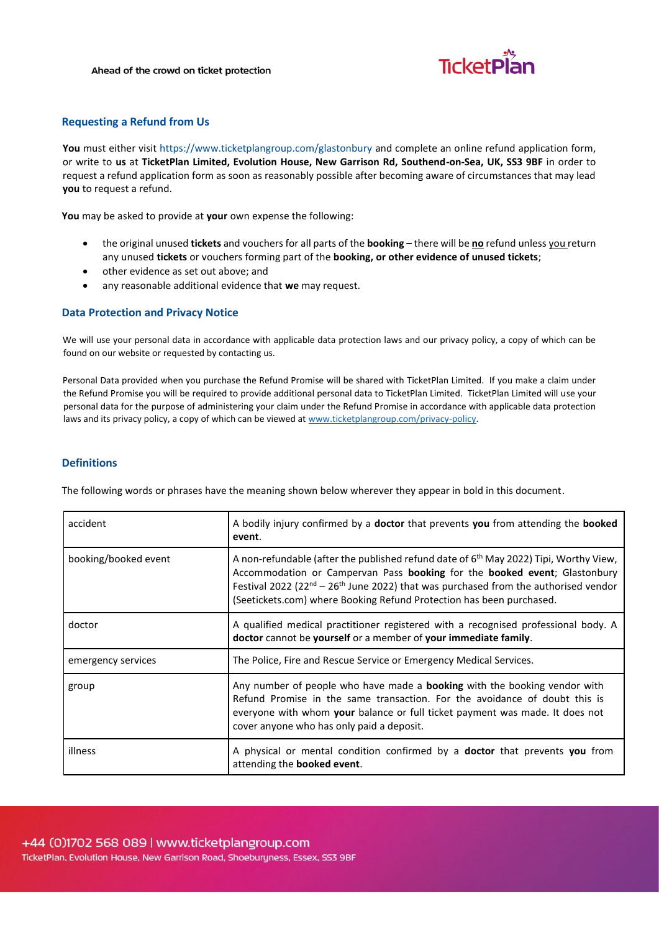

## **Requesting a Refund from Us**

**You** must either visit<https://www.ticketplangroup.com/glastonbury> [and](http://www.ticketplangroup.com/refund-application-form) complete an online refund application form, or write to **us** at **TicketPlan Limited, Evolution House, New Garrison Rd, Southend-on-Sea, UK, SS3 9BF** in order to request a refund application form as soon as reasonably possible after becoming aware of circumstances that may lead **you** to request a refund.

**You** may be asked to provide at **your** own expense the following:

- the original unused **tickets** and vouchers for all parts of the **booking –** there will be **no** refund unless you return any unused **tickets** or vouchers forming part of the **booking, or other evidence of unused tickets**;
- other evidence as set out above; and
- any reasonable additional evidence that **we** may request.

### **Data Protection and Privacy Notice**

We will use your personal data in accordance with applicable data protection laws and our privacy policy, a copy of which can be found on our website or requested by contacting us.

Personal Data provided when you purchase the Refund Promise will be shared with TicketPlan Limited. If you make a claim under the Refund Promise you will be required to provide additional personal data to TicketPlan Limited. TicketPlan Limited will use your personal data for the purpose of administering your claim under the Refund Promise in accordance with applicable data protection laws and its privacy policy, a copy of which can be viewed at [www.ticketplangroup.com/privacy-policy.](https://pierinsurance.sharepoint.com/sites/SharedDocuments/Documents/19.%20TicketPlan/Astrenska%20client%20documents/Templates/www.ticketplangroup.com/privacy-policy)

## **Definitions**

The following words or phrases have the meaning shown below wherever they appear in bold in this document.

| accident             | A bodily injury confirmed by a doctor that prevents you from attending the booked<br>event.                                                                                                                                                                                                                                                      |
|----------------------|--------------------------------------------------------------------------------------------------------------------------------------------------------------------------------------------------------------------------------------------------------------------------------------------------------------------------------------------------|
| booking/booked event | A non-refundable (after the published refund date of 6 <sup>th</sup> May 2022) Tipi, Worthy View,<br>Accommodation or Campervan Pass booking for the booked event; Glastonbury<br>Festival 2022 (22 $nd - 26th$ June 2022) that was purchased from the authorised vendor<br>(Seetickets.com) where Booking Refund Protection has been purchased. |
| doctor               | A qualified medical practitioner registered with a recognised professional body. A<br>doctor cannot be yourself or a member of your immediate family.                                                                                                                                                                                            |
| emergency services   | The Police, Fire and Rescue Service or Emergency Medical Services.                                                                                                                                                                                                                                                                               |
| group                | Any number of people who have made a <b>booking</b> with the booking vendor with<br>Refund Promise in the same transaction. For the avoidance of doubt this is<br>everyone with whom your balance or full ticket payment was made. It does not<br>cover anyone who has only paid a deposit.                                                      |
| illness              | A physical or mental condition confirmed by a <b>doctor</b> that prevents you from<br>attending the <b>booked</b> event.                                                                                                                                                                                                                         |